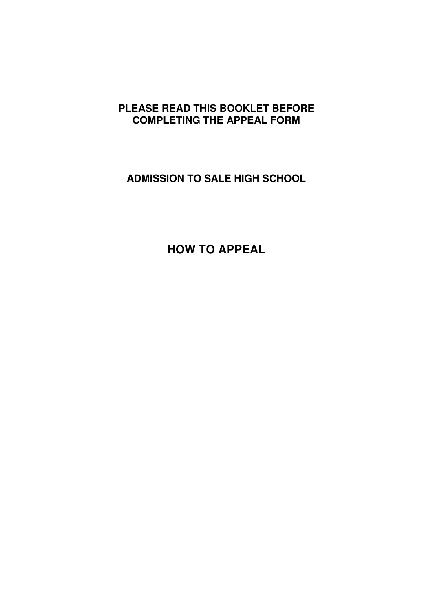# **PLEASE READ THIS BOOKLET BEFORE COMPLETING THE APPEAL FORM**

**ADMISSION TO SALE HIGH SCHOOL** 

**HOW TO APPEAL**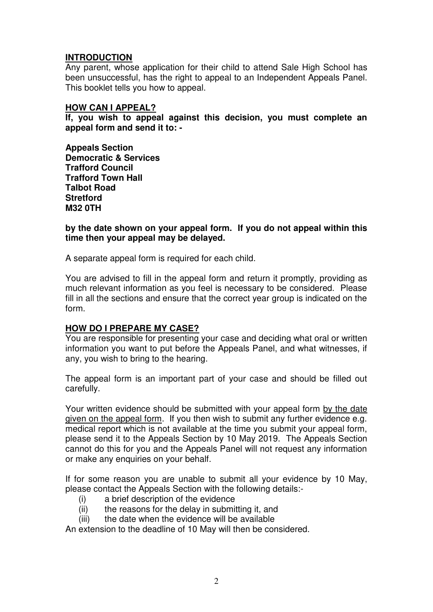### **INTRODUCTION**

Any parent, whose application for their child to attend Sale High School has been unsuccessful, has the right to appeal to an Independent Appeals Panel. This booklet tells you how to appeal.

#### **HOW CAN I APPEAL?**

**If, you wish to appeal against this decision, you must complete an appeal form and send it to: -** 

**Appeals Section Democratic & Services Trafford Council Trafford Town Hall Talbot Road Stretford M32 0TH** 

**by the date shown on your appeal form. If you do not appeal within this time then your appeal may be delayed.** 

A separate appeal form is required for each child.

You are advised to fill in the appeal form and return it promptly, providing as much relevant information as you feel is necessary to be considered. Please fill in all the sections and ensure that the correct year group is indicated on the form.

# **HOW DO I PREPARE MY CASE?**

You are responsible for presenting your case and deciding what oral or written information you want to put before the Appeals Panel, and what witnesses, if any, you wish to bring to the hearing.

The appeal form is an important part of your case and should be filled out carefully.

Your written evidence should be submitted with your appeal form by the date given on the appeal form. If you then wish to submit any further evidence e.g. medical report which is not available at the time you submit your appeal form, please send it to the Appeals Section by 10 May 2019. The Appeals Section cannot do this for you and the Appeals Panel will not request any information or make any enquiries on your behalf.

If for some reason you are unable to submit all your evidence by 10 May, please contact the Appeals Section with the following details:-

- (i) a brief description of the evidence
- (ii) the reasons for the delay in submitting it, and
- (iii) the date when the evidence will be available

An extension to the deadline of 10 May will then be considered.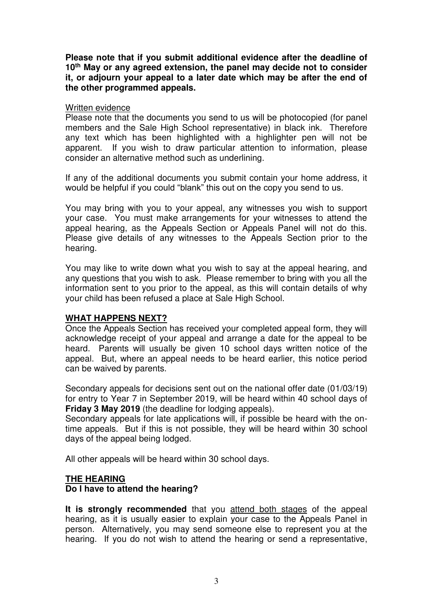**Please note that if you submit additional evidence after the deadline of 10th May or any agreed extension, the panel may decide not to consider it, or adjourn your appeal to a later date which may be after the end of the other programmed appeals.** 

### Written evidence

Please note that the documents you send to us will be photocopied (for panel members and the Sale High School representative) in black ink. Therefore any text which has been highlighted with a highlighter pen will not be apparent. If you wish to draw particular attention to information, please consider an alternative method such as underlining.

If any of the additional documents you submit contain your home address, it would be helpful if you could "blank" this out on the copy you send to us.

You may bring with you to your appeal, any witnesses you wish to support your case. You must make arrangements for your witnesses to attend the appeal hearing, as the Appeals Section or Appeals Panel will not do this. Please give details of any witnesses to the Appeals Section prior to the hearing.

You may like to write down what you wish to say at the appeal hearing, and any questions that you wish to ask. Please remember to bring with you all the information sent to you prior to the appeal, as this will contain details of why your child has been refused a place at Sale High School.

# **WHAT HAPPENS NEXT?**

Once the Appeals Section has received your completed appeal form, they will acknowledge receipt of your appeal and arrange a date for the appeal to be heard. Parents will usually be given 10 school days written notice of the appeal. But, where an appeal needs to be heard earlier, this notice period can be waived by parents.

Secondary appeals for decisions sent out on the national offer date (01/03/19) for entry to Year 7 in September 2019, will be heard within 40 school days of **Friday 3 May 2019** (the deadline for lodging appeals).

Secondary appeals for late applications will, if possible be heard with the ontime appeals. But if this is not possible, they will be heard within 30 school days of the appeal being lodged.

All other appeals will be heard within 30 school days.

# **THE HEARING**

# **Do I have to attend the hearing?**

It is strongly recommended that you attend both stages of the appeal hearing, as it is usually easier to explain your case to the Appeals Panel in person. Alternatively, you may send someone else to represent you at the hearing. If you do not wish to attend the hearing or send a representative,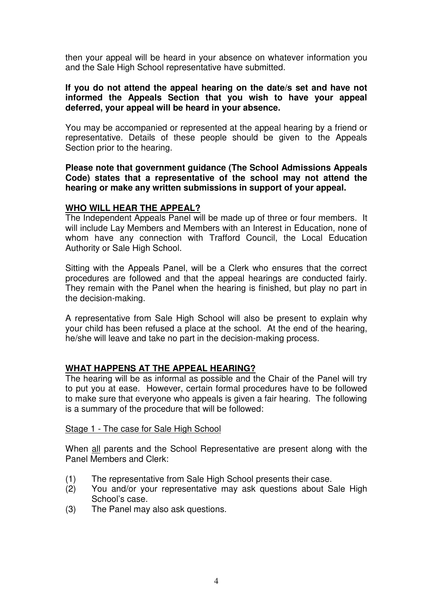then your appeal will be heard in your absence on whatever information you and the Sale High School representative have submitted.

#### **If you do not attend the appeal hearing on the date/s set and have not informed the Appeals Section that you wish to have your appeal deferred, your appeal will be heard in your absence.**

You may be accompanied or represented at the appeal hearing by a friend or representative. Details of these people should be given to the Appeals Section prior to the hearing.

#### **Please note that government guidance (The School Admissions Appeals Code) states that a representative of the school may not attend the hearing or make any written submissions in support of your appeal.**

### **WHO WILL HEAR THE APPEAL?**

The Independent Appeals Panel will be made up of three or four members. It will include Lay Members and Members with an Interest in Education, none of whom have any connection with Trafford Council, the Local Education Authority or Sale High School.

Sitting with the Appeals Panel, will be a Clerk who ensures that the correct procedures are followed and that the appeal hearings are conducted fairly. They remain with the Panel when the hearing is finished, but play no part in the decision-making.

A representative from Sale High School will also be present to explain why your child has been refused a place at the school. At the end of the hearing, he/she will leave and take no part in the decision-making process.

### **WHAT HAPPENS AT THE APPEAL HEARING?**

The hearing will be as informal as possible and the Chair of the Panel will try to put you at ease. However, certain formal procedures have to be followed to make sure that everyone who appeals is given a fair hearing. The following is a summary of the procedure that will be followed:

### Stage 1 - The case for Sale High School

When all parents and the School Representative are present along with the Panel Members and Clerk:

- (1) The representative from Sale High School presents their case.
- (2) You and/or your representative may ask questions about Sale High School's case.
- (3) The Panel may also ask questions.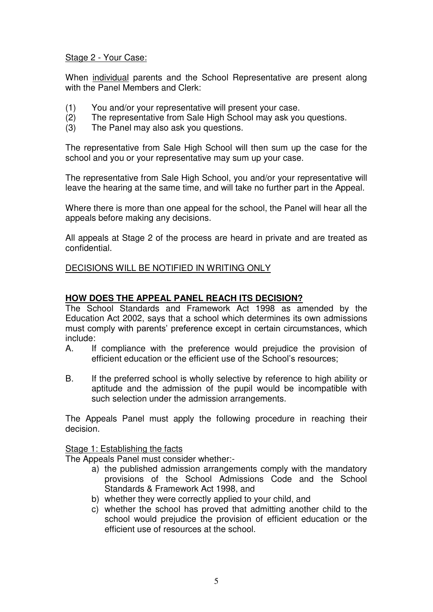### Stage 2 - Your Case:

When individual parents and the School Representative are present along with the Panel Members and Clerk:

- (1) You and/or your representative will present your case.<br>(2) The representative from Sale High School may ask you
- The representative from Sale High School may ask you questions.
- (3) The Panel may also ask you questions.

The representative from Sale High School will then sum up the case for the school and you or your representative may sum up your case.

The representative from Sale High School, you and/or your representative will leave the hearing at the same time, and will take no further part in the Appeal.

Where there is more than one appeal for the school, the Panel will hear all the appeals before making any decisions.

All appeals at Stage 2 of the process are heard in private and are treated as confidential.

### DECISIONS WILL BE NOTIFIED IN WRITING ONLY

### **HOW DOES THE APPEAL PANEL REACH ITS DECISION?**

The School Standards and Framework Act 1998 as amended by the Education Act 2002, says that a school which determines its own admissions must comply with parents' preference except in certain circumstances, which include:

- A. If compliance with the preference would prejudice the provision of efficient education or the efficient use of the School's resources;
- B. If the preferred school is wholly selective by reference to high ability or aptitude and the admission of the pupil would be incompatible with such selection under the admission arrangements.

The Appeals Panel must apply the following procedure in reaching their decision.

### Stage 1: Establishing the facts

The Appeals Panel must consider whether:-

- a) the published admission arrangements comply with the mandatory provisions of the School Admissions Code and the School Standards & Framework Act 1998, and
- b) whether they were correctly applied to your child, and
- c) whether the school has proved that admitting another child to the school would prejudice the provision of efficient education or the efficient use of resources at the school.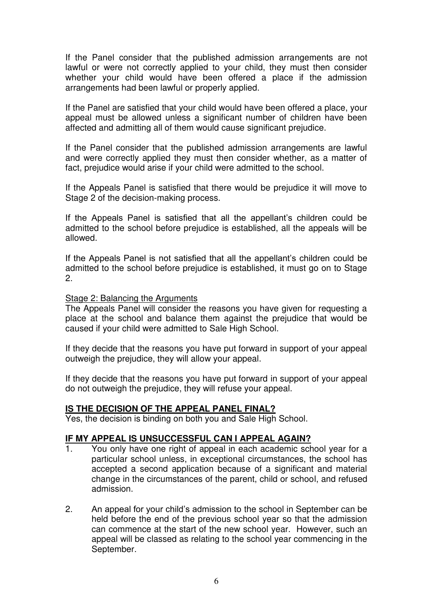If the Panel consider that the published admission arrangements are not lawful or were not correctly applied to your child, they must then consider whether your child would have been offered a place if the admission arrangements had been lawful or properly applied.

If the Panel are satisfied that your child would have been offered a place, your appeal must be allowed unless a significant number of children have been affected and admitting all of them would cause significant prejudice.

If the Panel consider that the published admission arrangements are lawful and were correctly applied they must then consider whether, as a matter of fact, prejudice would arise if your child were admitted to the school.

If the Appeals Panel is satisfied that there would be prejudice it will move to Stage 2 of the decision-making process.

If the Appeals Panel is satisfied that all the appellant's children could be admitted to the school before prejudice is established, all the appeals will be allowed.

If the Appeals Panel is not satisfied that all the appellant's children could be admitted to the school before prejudice is established, it must go on to Stage 2.

#### Stage 2: Balancing the Arguments

The Appeals Panel will consider the reasons you have given for requesting a place at the school and balance them against the prejudice that would be caused if your child were admitted to Sale High School.

If they decide that the reasons you have put forward in support of your appeal outweigh the prejudice, they will allow your appeal.

If they decide that the reasons you have put forward in support of your appeal do not outweigh the prejudice, they will refuse your appeal.

#### **IS THE DECISION OF THE APPEAL PANEL FINAL?**

Yes, the decision is binding on both you and Sale High School.

#### **IF MY APPEAL IS UNSUCCESSFUL CAN I APPEAL AGAIN?**

- You only have one right of appeal in each academic school year for a particular school unless, in exceptional circumstances, the school has accepted a second application because of a significant and material change in the circumstances of the parent, child or school, and refused admission.
- 2. An appeal for your child's admission to the school in September can be held before the end of the previous school year so that the admission can commence at the start of the new school year. However, such an appeal will be classed as relating to the school year commencing in the September.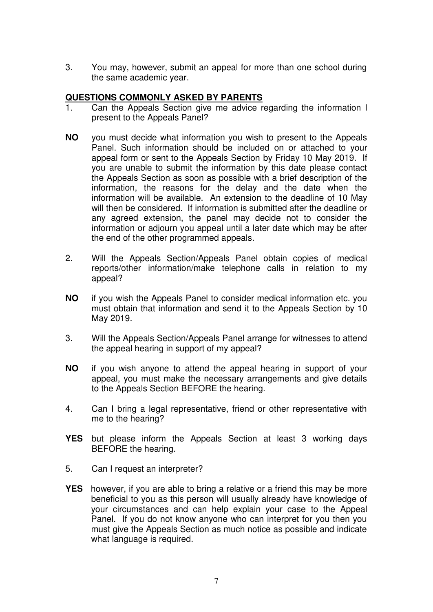3. You may, however, submit an appeal for more than one school during the same academic year.

### **QUESTIONS COMMONLY ASKED BY PARENTS**

- 1. Can the Appeals Section give me advice regarding the information I present to the Appeals Panel?
- **NO** you must decide what information you wish to present to the Appeals Panel. Such information should be included on or attached to your appeal form or sent to the Appeals Section by Friday 10 May 2019. If you are unable to submit the information by this date please contact the Appeals Section as soon as possible with a brief description of the information, the reasons for the delay and the date when the information will be available. An extension to the deadline of 10 May will then be considered. If information is submitted after the deadline or any agreed extension, the panel may decide not to consider the information or adjourn you appeal until a later date which may be after the end of the other programmed appeals.
- 2. Will the Appeals Section/Appeals Panel obtain copies of medical reports/other information/make telephone calls in relation to my appeal?
- **NO** if you wish the Appeals Panel to consider medical information etc. you must obtain that information and send it to the Appeals Section by 10 May 2019.
- 3. Will the Appeals Section/Appeals Panel arrange for witnesses to attend the appeal hearing in support of my appeal?
- **NO** if you wish anyone to attend the appeal hearing in support of your appeal, you must make the necessary arrangements and give details to the Appeals Section BEFORE the hearing.
- 4. Can I bring a legal representative, friend or other representative with me to the hearing?
- **YES** but please inform the Appeals Section at least 3 working days BEFORE the hearing.
- 5. Can I request an interpreter?
- **YES** however, if you are able to bring a relative or a friend this may be more beneficial to you as this person will usually already have knowledge of your circumstances and can help explain your case to the Appeal Panel. If you do not know anyone who can interpret for you then you must give the Appeals Section as much notice as possible and indicate what language is required.